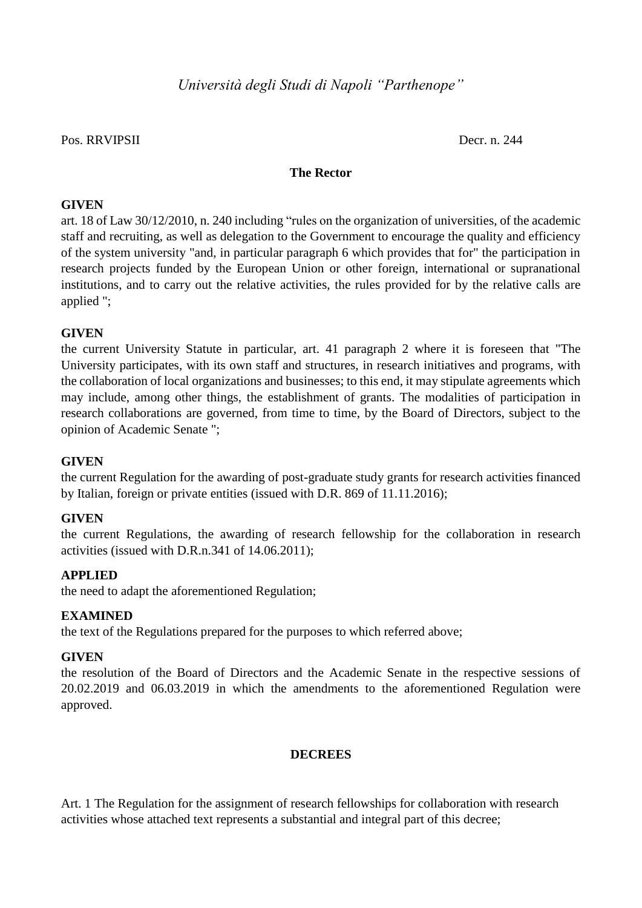## Pos. RRVIPSII Decr. n. 244

### **The Rector**

#### **GIVEN**

art. 18 of Law 30/12/2010, n. 240 including "rules on the organization of universities, of the academic staff and recruiting, as well as delegation to the Government to encourage the quality and efficiency of the system university "and, in particular paragraph 6 which provides that for" the participation in research projects funded by the European Union or other foreign, international or supranational institutions, and to carry out the relative activities, the rules provided for by the relative calls are applied ";

#### **GIVEN**

the current University Statute in particular, art. 41 paragraph 2 where it is foreseen that "The University participates, with its own staff and structures, in research initiatives and programs, with the collaboration of local organizations and businesses; to this end, it may stipulate agreements which may include, among other things, the establishment of grants. The modalities of participation in research collaborations are governed, from time to time, by the Board of Directors, subject to the opinion of Academic Senate ";

#### **GIVEN**

the current Regulation for the awarding of post-graduate study grants for research activities financed by Italian, foreign or private entities (issued with D.R. 869 of 11.11.2016);

#### **GIVEN**

the current Regulations, the awarding of research fellowship for the collaboration in research activities (issued with D.R.n.341 of 14.06.2011);

#### **APPLIED**

the need to adapt the aforementioned Regulation;

#### **EXAMINED**

the text of the Regulations prepared for the purposes to which referred above;

#### **GIVEN**

the resolution of the Board of Directors and the Academic Senate in the respective sessions of 20.02.2019 and 06.03.2019 in which the amendments to the aforementioned Regulation were approved.

#### **DECREES**

Art. 1 The Regulation for the assignment of research fellowships for collaboration with research activities whose attached text represents a substantial and integral part of this decree;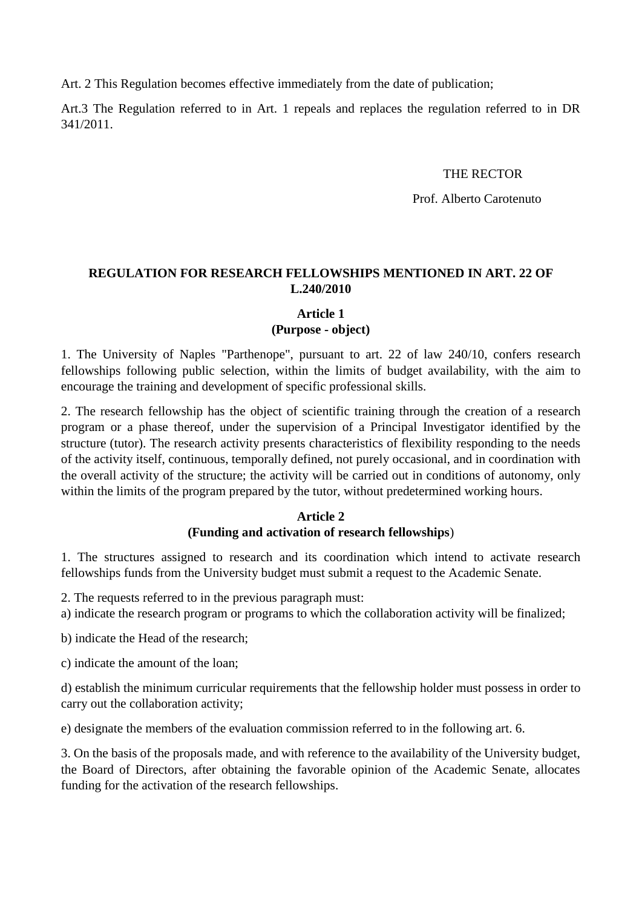Art. 2 This Regulation becomes effective immediately from the date of publication;

Art.3 The Regulation referred to in Art. 1 repeals and replaces the regulation referred to in DR 341/2011.

### THE RECTOR

Prof. Alberto Carotenuto

## **REGULATION FOR RESEARCH FELLOWSHIPS MENTIONED IN ART. 22 OF L.240/2010**

## **Article 1 (Purpose - object)**

1. The University of Naples "Parthenope", pursuant to art. 22 of law 240/10, confers research fellowships following public selection, within the limits of budget availability, with the aim to encourage the training and development of specific professional skills.

2. The research fellowship has the object of scientific training through the creation of a research program or a phase thereof, under the supervision of a Principal Investigator identified by the structure (tutor). The research activity presents characteristics of flexibility responding to the needs of the activity itself, continuous, temporally defined, not purely occasional, and in coordination with the overall activity of the structure; the activity will be carried out in conditions of autonomy, only within the limits of the program prepared by the tutor, without predetermined working hours.

#### **Article 2 (Funding and activation of research fellowships**)

1. The structures assigned to research and its coordination which intend to activate research fellowships funds from the University budget must submit a request to the Academic Senate.

2. The requests referred to in the previous paragraph must:

a) indicate the research program or programs to which the collaboration activity will be finalized;

b) indicate the Head of the research;

c) indicate the amount of the loan;

d) establish the minimum curricular requirements that the fellowship holder must possess in order to carry out the collaboration activity;

e) designate the members of the evaluation commission referred to in the following art. 6.

3. On the basis of the proposals made, and with reference to the availability of the University budget, the Board of Directors, after obtaining the favorable opinion of the Academic Senate, allocates funding for the activation of the research fellowships.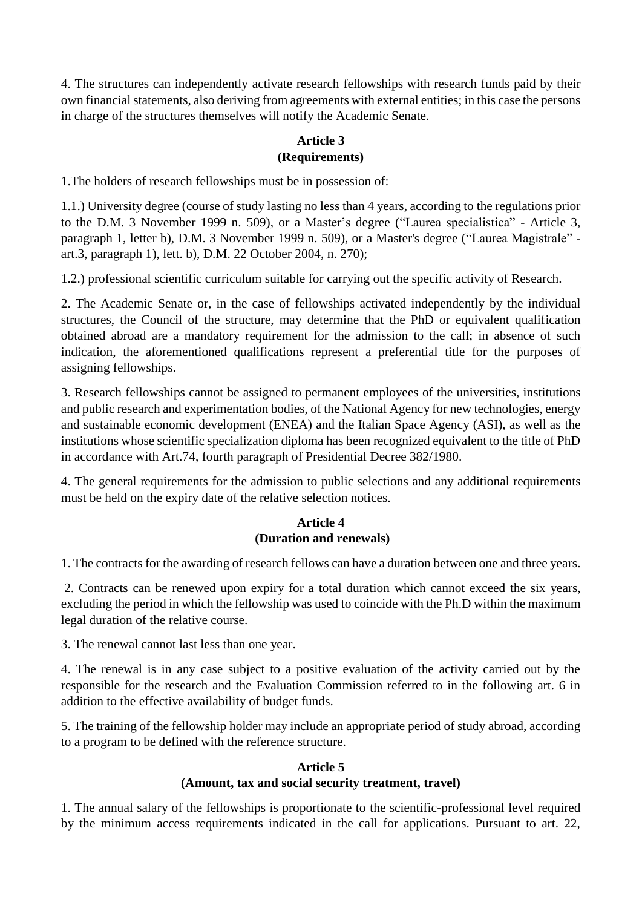4. The structures can independently activate research fellowships with research funds paid by their own financial statements, also deriving from agreements with external entities; in this case the persons in charge of the structures themselves will notify the Academic Senate.

#### **Article 3 (Requirements)**

1.The holders of research fellowships must be in possession of:

1.1.) University degree (course of study lasting no less than 4 years, according to the regulations prior to the D.M. 3 November 1999 n. 509), or a Master's degree ("Laurea specialistica" - Article 3, paragraph 1, letter b), D.M. 3 November 1999 n. 509), or a Master's degree ("Laurea Magistrale" art.3, paragraph 1), lett. b), D.M. 22 October 2004, n. 270);

1.2.) professional scientific curriculum suitable for carrying out the specific activity of Research.

2. The Academic Senate or, in the case of fellowships activated independently by the individual structures, the Council of the structure, may determine that the PhD or equivalent qualification obtained abroad are a mandatory requirement for the admission to the call; in absence of such indication, the aforementioned qualifications represent a preferential title for the purposes of assigning fellowships.

3. Research fellowships cannot be assigned to permanent employees of the universities, institutions and public research and experimentation bodies, of the National Agency for new technologies, energy and sustainable economic development (ENEA) and the Italian Space Agency (ASI), as well as the institutions whose scientific specialization diploma has been recognized equivalent to the title of PhD in accordance with Art.74, fourth paragraph of Presidential Decree 382/1980.

4. The general requirements for the admission to public selections and any additional requirements must be held on the expiry date of the relative selection notices.

### **Article 4 (Duration and renewals)**

1. The contracts for the awarding of research fellows can have a duration between one and three years.

2. Contracts can be renewed upon expiry for a total duration which cannot exceed the six years, excluding the period in which the fellowship was used to coincide with the Ph.D within the maximum legal duration of the relative course.

3. The renewal cannot last less than one year.

4. The renewal is in any case subject to a positive evaluation of the activity carried out by the responsible for the research and the Evaluation Commission referred to in the following art. 6 in addition to the effective availability of budget funds.

5. The training of the fellowship holder may include an appropriate period of study abroad, according to a program to be defined with the reference structure.

## **Article 5**

## **(Amount, tax and social security treatment, travel)**

1. The annual salary of the fellowships is proportionate to the scientific-professional level required by the minimum access requirements indicated in the call for applications. Pursuant to art. 22,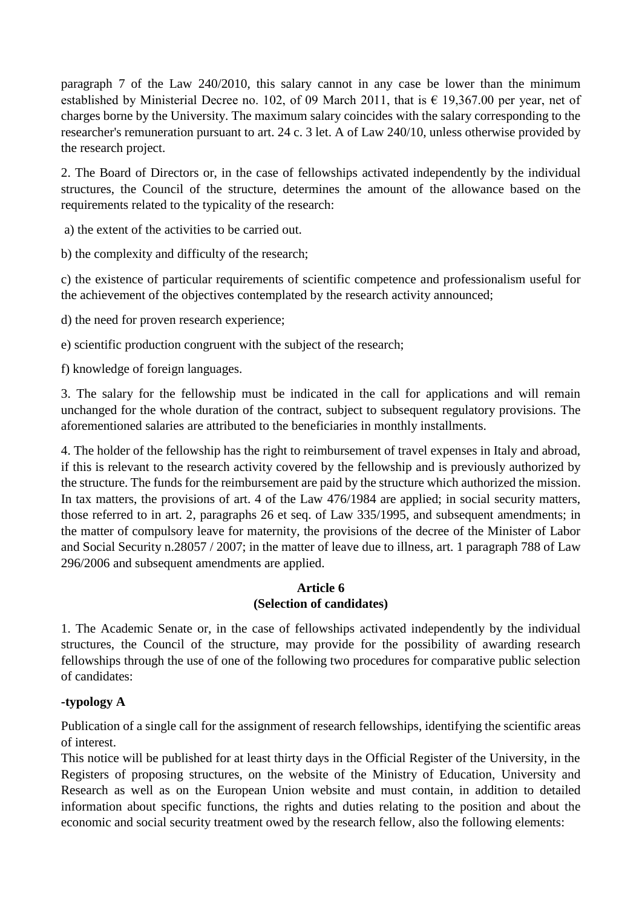paragraph 7 of the Law 240/2010, this salary cannot in any case be lower than the minimum established by Ministerial Decree no. 102, of 09 March 2011, that is  $\epsilon$  19,367.00 per year, net of charges borne by the University. The maximum salary coincides with the salary corresponding to the researcher's remuneration pursuant to art. 24 c. 3 let. A of Law 240/10, unless otherwise provided by the research project.

2. The Board of Directors or, in the case of fellowships activated independently by the individual structures, the Council of the structure, determines the amount of the allowance based on the requirements related to the typicality of the research:

a) the extent of the activities to be carried out.

b) the complexity and difficulty of the research;

c) the existence of particular requirements of scientific competence and professionalism useful for the achievement of the objectives contemplated by the research activity announced;

d) the need for proven research experience;

e) scientific production congruent with the subject of the research;

f) knowledge of foreign languages.

3. The salary for the fellowship must be indicated in the call for applications and will remain unchanged for the whole duration of the contract, subject to subsequent regulatory provisions. The aforementioned salaries are attributed to the beneficiaries in monthly installments.

4. The holder of the fellowship has the right to reimbursement of travel expenses in Italy and abroad, if this is relevant to the research activity covered by the fellowship and is previously authorized by the structure. The funds for the reimbursement are paid by the structure which authorized the mission. In tax matters, the provisions of art. 4 of the Law 476/1984 are applied; in social security matters, those referred to in art. 2, paragraphs 26 et seq. of Law 335/1995, and subsequent amendments; in the matter of compulsory leave for maternity, the provisions of the decree of the Minister of Labor and Social Security n.28057 / 2007; in the matter of leave due to illness, art. 1 paragraph 788 of Law 296/2006 and subsequent amendments are applied.

### **Article 6 (Selection of candidates)**

1. The Academic Senate or, in the case of fellowships activated independently by the individual structures, the Council of the structure, may provide for the possibility of awarding research fellowships through the use of one of the following two procedures for comparative public selection of candidates:

## **-typology A**

Publication of a single call for the assignment of research fellowships, identifying the scientific areas of interest.

This notice will be published for at least thirty days in the Official Register of the University, in the Registers of proposing structures, on the website of the Ministry of Education, University and Research as well as on the European Union website and must contain, in addition to detailed information about specific functions, the rights and duties relating to the position and about the economic and social security treatment owed by the research fellow, also the following elements: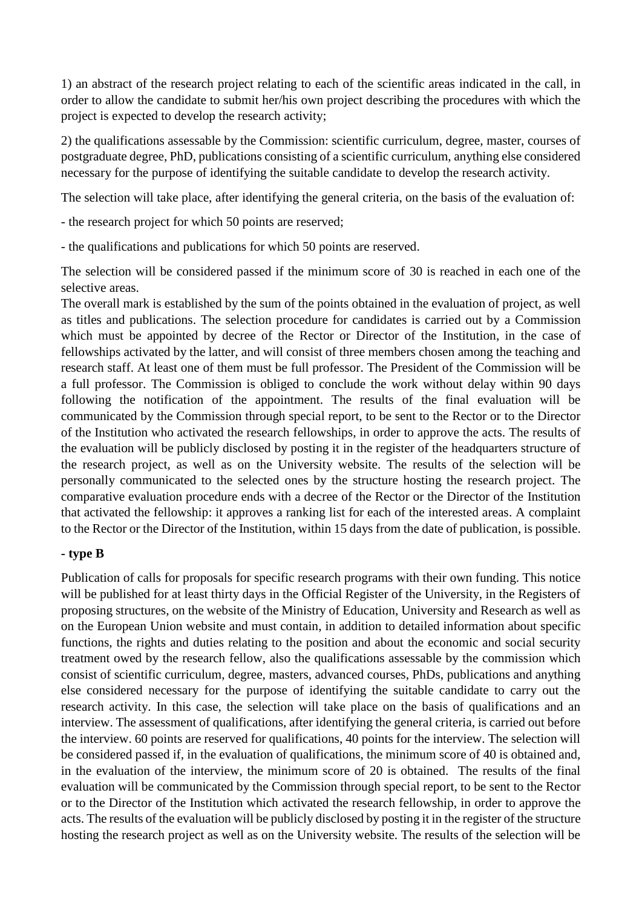1) an abstract of the research project relating to each of the scientific areas indicated in the call, in order to allow the candidate to submit her/his own project describing the procedures with which the project is expected to develop the research activity;

2) the qualifications assessable by the Commission: scientific curriculum, degree, master, courses of postgraduate degree, PhD, publications consisting of a scientific curriculum, anything else considered necessary for the purpose of identifying the suitable candidate to develop the research activity.

The selection will take place, after identifying the general criteria, on the basis of the evaluation of:

- the research project for which 50 points are reserved;

- the qualifications and publications for which 50 points are reserved.

The selection will be considered passed if the minimum score of 30 is reached in each one of the selective areas.

The overall mark is established by the sum of the points obtained in the evaluation of project, as well as titles and publications. The selection procedure for candidates is carried out by a Commission which must be appointed by decree of the Rector or Director of the Institution, in the case of fellowships activated by the latter, and will consist of three members chosen among the teaching and research staff. At least one of them must be full professor. The President of the Commission will be a full professor. The Commission is obliged to conclude the work without delay within 90 days following the notification of the appointment. The results of the final evaluation will be communicated by the Commission through special report, to be sent to the Rector or to the Director of the Institution who activated the research fellowships, in order to approve the acts. The results of the evaluation will be publicly disclosed by posting it in the register of the headquarters structure of the research project, as well as on the University website. The results of the selection will be personally communicated to the selected ones by the structure hosting the research project. The comparative evaluation procedure ends with a decree of the Rector or the Director of the Institution that activated the fellowship: it approves a ranking list for each of the interested areas. A complaint to the Rector or the Director of the Institution, within 15 days from the date of publication, is possible.

## **- type B**

Publication of calls for proposals for specific research programs with their own funding. This notice will be published for at least thirty days in the Official Register of the University, in the Registers of proposing structures, on the website of the Ministry of Education, University and Research as well as on the European Union website and must contain, in addition to detailed information about specific functions, the rights and duties relating to the position and about the economic and social security treatment owed by the research fellow, also the qualifications assessable by the commission which consist of scientific curriculum, degree, masters, advanced courses, PhDs, publications and anything else considered necessary for the purpose of identifying the suitable candidate to carry out the research activity. In this case, the selection will take place on the basis of qualifications and an interview. The assessment of qualifications, after identifying the general criteria, is carried out before the interview. 60 points are reserved for qualifications, 40 points for the interview. The selection will be considered passed if, in the evaluation of qualifications, the minimum score of 40 is obtained and, in the evaluation of the interview, the minimum score of 20 is obtained. The results of the final evaluation will be communicated by the Commission through special report, to be sent to the Rector or to the Director of the Institution which activated the research fellowship, in order to approve the acts. The results of the evaluation will be publicly disclosed by posting it in the register of the structure hosting the research project as well as on the University website. The results of the selection will be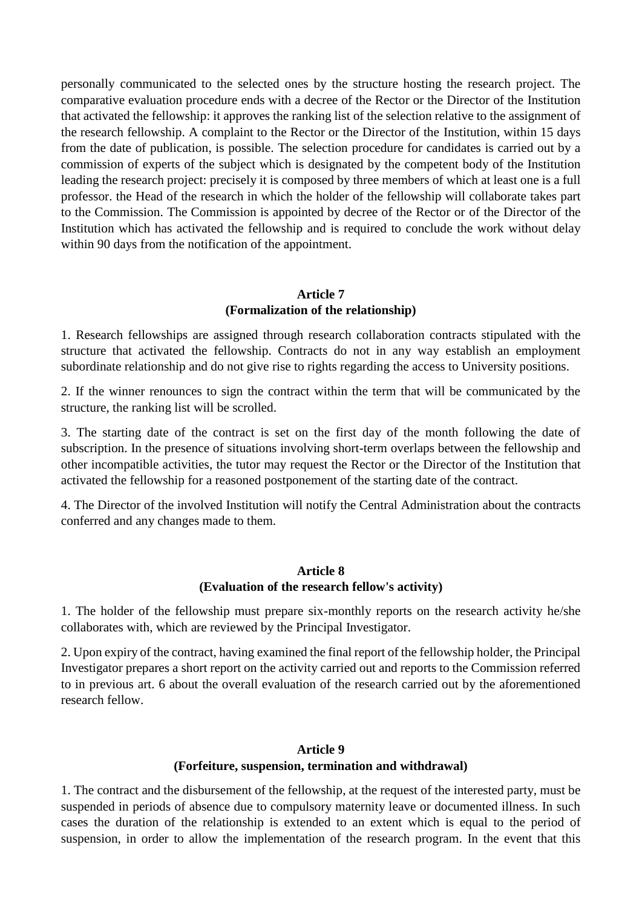personally communicated to the selected ones by the structure hosting the research project. The comparative evaluation procedure ends with a decree of the Rector or the Director of the Institution that activated the fellowship: it approves the ranking list of the selection relative to the assignment of the research fellowship. A complaint to the Rector or the Director of the Institution, within 15 days from the date of publication, is possible. The selection procedure for candidates is carried out by a commission of experts of the subject which is designated by the competent body of the Institution leading the research project: precisely it is composed by three members of which at least one is a full professor. the Head of the research in which the holder of the fellowship will collaborate takes part to the Commission. The Commission is appointed by decree of the Rector or of the Director of the Institution which has activated the fellowship and is required to conclude the work without delay within 90 days from the notification of the appointment.

## **Article 7 (Formalization of the relationship)**

1. Research fellowships are assigned through research collaboration contracts stipulated with the structure that activated the fellowship. Contracts do not in any way establish an employment subordinate relationship and do not give rise to rights regarding the access to University positions.

2. If the winner renounces to sign the contract within the term that will be communicated by the structure, the ranking list will be scrolled.

3. The starting date of the contract is set on the first day of the month following the date of subscription. In the presence of situations involving short-term overlaps between the fellowship and other incompatible activities, the tutor may request the Rector or the Director of the Institution that activated the fellowship for a reasoned postponement of the starting date of the contract.

4. The Director of the involved Institution will notify the Central Administration about the contracts conferred and any changes made to them.

### **Article 8 (Evaluation of the research fellow's activity)**

1. The holder of the fellowship must prepare six-monthly reports on the research activity he/she collaborates with, which are reviewed by the Principal Investigator.

2. Upon expiry of the contract, having examined the final report of the fellowship holder, the Principal Investigator prepares a short report on the activity carried out and reports to the Commission referred to in previous art. 6 about the overall evaluation of the research carried out by the aforementioned research fellow.

## **Article 9 (Forfeiture, suspension, termination and withdrawal)**

1. The contract and the disbursement of the fellowship, at the request of the interested party, must be suspended in periods of absence due to compulsory maternity leave or documented illness. In such cases the duration of the relationship is extended to an extent which is equal to the period of suspension, in order to allow the implementation of the research program. In the event that this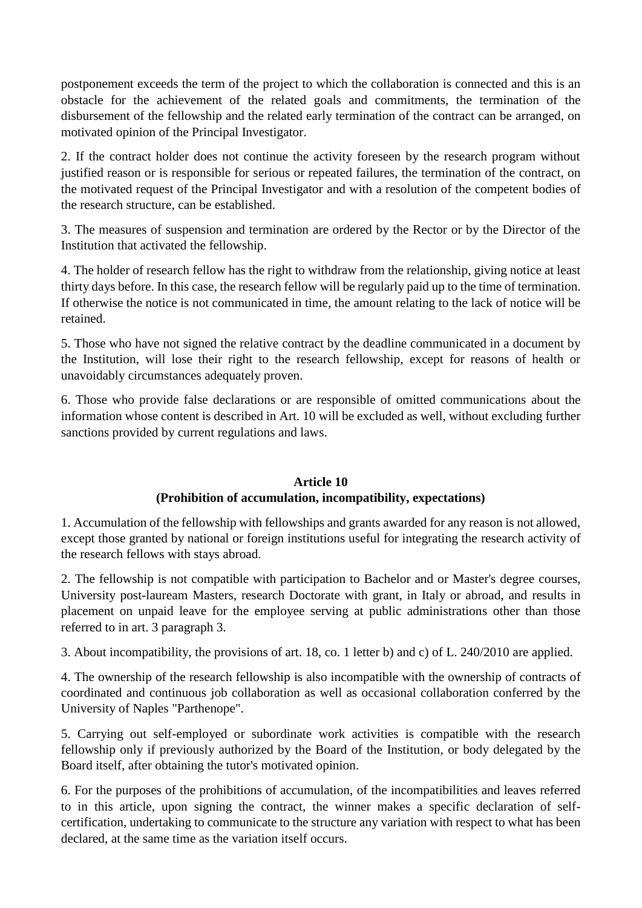postponement exceeds the term of the project to which the collaboration is connected and this is an obstacle for the achievement of the related goals and commitments, the termination of the disbursement of the fellowship and the related early termination of the contract can be arranged, on motivated opinion of the Principal Investigator.

2. If the contract holder does not continue the activity foreseen by the research program without justified reason or is responsible for serious or repeated failures, the termination of the contract, on the motivated request of the Principal Investigator and with a resolution of the competent bodies of the research structure, can be established.

3. The measures of suspension and termination are ordered by the Rector or by the Director of the Institution that activated the fellowship.

4. The holder of research fellow has the right to withdraw from the relationship, giving notice at least thirty days before. In this case, the research fellow will be regularly paid up to the time of termination. If otherwise the notice is not communicated in time, the amount relating to the lack of notice will be retained.

5. Those who have not signed the relative contract by the deadline communicated in a document by the Institution, will lose their right to the research fellowship, except for reasons of health or unavoidably circumstances adequately proven.

6. Those who provide false declarations or are responsible of omitted communications about the information whose content is described in Art. 10 will be excluded as well, without excluding further sanctions provided by current regulations and laws.

## **Article 10 (Prohibition of accumulation, incompatibility, expectations)**

1. Accumulation of the fellowship with fellowships and grants awarded for any reason is not allowed, except those granted by national or foreign institutions useful for integrating the research activity of the research fellows with stays abroad.

2. The fellowship is not compatible with participation to Bachelor and or Master's degree courses, University post-lauream Masters, research Doctorate with grant, in Italy or abroad, and results in placement on unpaid leave for the employee serving at public administrations other than those referred to in art. 3 paragraph 3.

3. About incompatibility, the provisions of art. 18, co. 1 letter b) and c) of L. 240/2010 are applied.

4. The ownership of the research fellowship is also incompatible with the ownership of contracts of coordinated and continuous job collaboration as well as occasional collaboration conferred by the University of Naples "Parthenope".

5. Carrying out self-employed or subordinate work activities is compatible with the research fellowship only if previously authorized by the Board of the Institution, or body delegated by the Board itself, after obtaining the tutor's motivated opinion.

6. For the purposes of the prohibitions of accumulation, of the incompatibilities and leaves referred to in this article, upon signing the contract, the winner makes a specific declaration of selfcertification, undertaking to communicate to the structure any variation with respect to what has been declared, at the same time as the variation itself occurs.